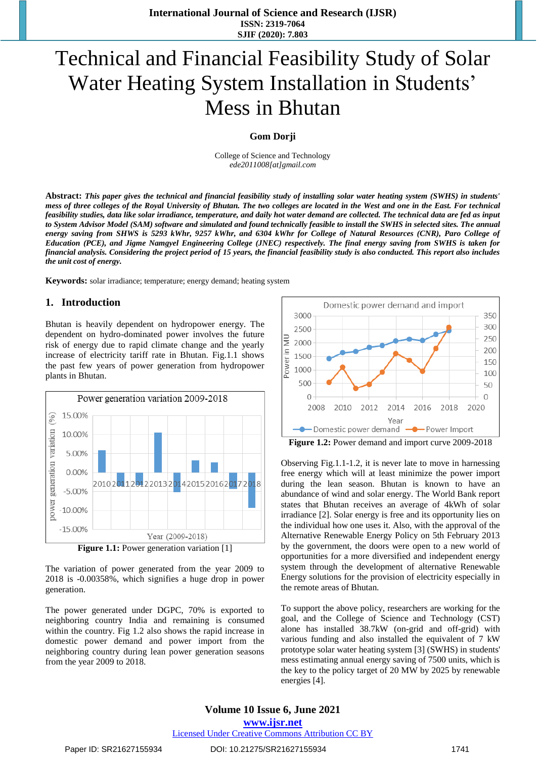# Technical and Financial Feasibility Study of Solar Water Heating System Installation in Students' Mess in Bhutan

#### **Gom Dorji**

College of Science and Technology *ede2011008[at]gmail.com*

**Abstract:** *This paper gives the technical and financial feasibility study of installing solar water heating system (SWHS) in students' mess of three colleges of the Royal University of Bhutan. The two colleges are located in the West and one in the East. For technical feasibility studies, data like solar irradiance, temperature, and daily hot water demand are collected. The technical data are fed as input to System Advisor Model (SAM) software and simulated and found technically feasible to install the SWHS in selected sites. The annual energy saving from SHWS is 5293 kWhr, 9257 kWhr, and 6304 kWhr for College of Natural Resources (CNR), Paro College of Education (PCE), and Jigme Namgyel Engineering College (JNEC) respectively. The final energy saving from SWHS is taken for financial analysis. Considering the project period of 15 years, the financial feasibility study is also conducted. This report also includes the unit cost of energy.*

**Keywords:** solar irradiance; temperature; energy demand; heating system

#### **1. Introduction**

Bhutan is heavily dependent on hydropower energy. The dependent on hydro-dominated power involves the future risk of energy due to rapid climate change and the yearly increase of electricity tariff rate in Bhutan. Fig.1.1 shows the past few years of power generation from hydropower plants in Bhutan.



**Figure 1.1:** Power generation variation [1]

The variation of power generated from the year 2009 to 2018 is -0.00358%, which signifies a huge drop in power generation.

The power generated under DGPC, 70% is exported to neighboring country India and remaining is consumed within the country. Fig 1.2 also shows the rapid increase in domestic power demand and power import from the neighboring country during lean power generation seasons from the year 2009 to 2018.



**Figure 1.2:** Power demand and import curve 2009-2018

Observing Fig.1.1-1.2, it is never late to move in harnessing free energy which will at least minimize the power import during the lean season. Bhutan is known to have an abundance of wind and solar energy. The World Bank report states that Bhutan receives an average of 4kWh of solar irradiance [2]. Solar energy is free and its opportunity lies on the individual how one uses it. Also, with the approval of the Alternative Renewable Energy Policy on 5th February 2013 by the government, the doors were open to a new world of opportunities for a more diversified and independent energy system through the development of alternative Renewable Energy solutions for the provision of electricity especially in the remote areas of Bhutan.

To support the above policy, researchers are working for the goal, and the College of Science and Technology (CST) alone has installed 38.7kW (on-grid and off-grid) with various funding and also installed the equivalent of 7 kW prototype solar water heating system [3] (SWHS) in students' mess estimating annual energy saving of 7500 units, which is the key to the policy target of 20 MW by 2025 by renewable energies [4].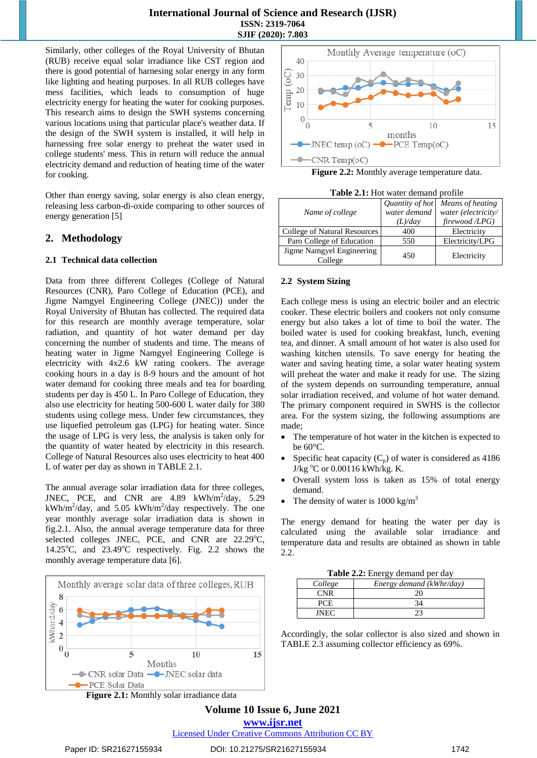Similarly, other colleges of the Royal University of Bhutan (RUB) receive equal solar irradiance like CST region and there is good potential of harnesing solar energy in any form like lighting and heating purposes. In all RUB colleges have mess facilities, which leads to consumption of huge electricity energy for heating the water for cooking purposes. This research aims to design the SWH systems concerning various locations using that particular place's weather data. If the design of the SWH system is installed, it will help in harnessing free solar energy to preheat the water used in college students' mess. This in return will reduce the annual electricity demand and reduction of heating time of the water for cooking.

Other than energy saving, solar energy is also clean energy, releasing less carbon-di-oxide comparing to other sources of energy generation [5]

# **2. Methodology**

### **2.1 Technical data collection**

Data from three different Colleges (College of Natural Resources (CNR), Paro College of Education (PCE), and Jigme Namgyel Engineering College (JNEC)) under the Royal University of Bhutan has collected. The required data for this research are monthly average temperature, solar radiation, and quantity of hot water demand per day concerning the number of students and time. The means of heating water in Jigme Namgyel Engineering College is electricity with 4x2.6 kW rating cookers. The average cooking hours in a day is 8-9 hours and the amount of hot water demand for cooking three meals and tea for boarding students per day is 450 L. In Paro College of Education, they also use electricity for heating 500-600 L water daily for 380 students using college mess. Under few circumstances, they use liquefied petroleum gas (LPG) for heating water. Since the usage of LPG is very less, the analysis is taken only for the quantity of water heated by electricity in this research. College of Natural Resources also uses electricity to heat 400 L of water per day as shown in TABLE 2.1.

The annual average solar irradiation data for three colleges, JNEC, PCE, and CNR are  $4.89$  kWh/m<sup>2</sup>/day,  $5.29$  $kWh/m^2$ /day, and 5.05 kWh/m<sup>2</sup>/day respectively. The one year monthly average solar irradiation data is shown in fig.2.1. Also, the annual average temperature data for three selected colleges JNEC, PCE, and CNR are 22.29°C, 14.25 $\degree$ C, and 23.49 $\degree$ C respectively. Fig. 2.2 shows the monthly average temperature data [6].







**Table 2.1:** Hot water demand profile

| Name of college                      | Quantity of hot<br>water demand<br>(L)/day | Means of heating<br>water (electricity/<br>firewood /LPG) |
|--------------------------------------|--------------------------------------------|-----------------------------------------------------------|
| College of Natural Resources         | 400                                        | Electricity                                               |
| Paro College of Education            | 550                                        | Electricity/LPG                                           |
| Jigme Namgyel Engineering<br>College | 450                                        | Electricity                                               |

#### **2.2 System Sizing**

Each college mess is using an electric boiler and an electric cooker. These electric boilers and cookers not only consume energy but also takes a lot of time to boil the water. The boiled water is used for cooking breakfast, lunch, evening tea, and dinner. A small amount of hot water is also used for washing kitchen utensils. To save energy for heating the water and saving heating time, a solar water heating system will preheat the water and make it ready for use. The sizing of the system depends on surrounding temperature, annual solar irradiation received, and volume of hot water demand. The primary component required in SWHS is the collector area. For the system sizing, the following assumptions are made;

- The temperature of hot water in the kitchen is expected to be 60°C.
- Specific heat capacity  $(C_p)$  of water is considered as 4186 J/kg  $\rm{^{\circ}C}$  or 0.00116 kWh/kg. K.
- Overall system loss is taken as 15% of total energy demand.
- The density of water is  $1000 \text{ kg/m}^3$

The energy demand for heating the water per day is calculated using the available solar irradiance and temperature data and results are obtained as shown in table 2.2.

| Table 2.2: Energy demand per day |  |
|----------------------------------|--|
|----------------------------------|--|

| College | Energy demand (kWhr/day) |
|---------|--------------------------|
|         |                          |
|         |                          |
| INE     |                          |

Accordingly, the solar collector is also sized and shown in TABLE 2.3 assuming collector efficiency as 69%.

**Volume 10 Issue 6, June 2021 www.ijsr.net**

Licensed Under Creative Commons Attribution CC BY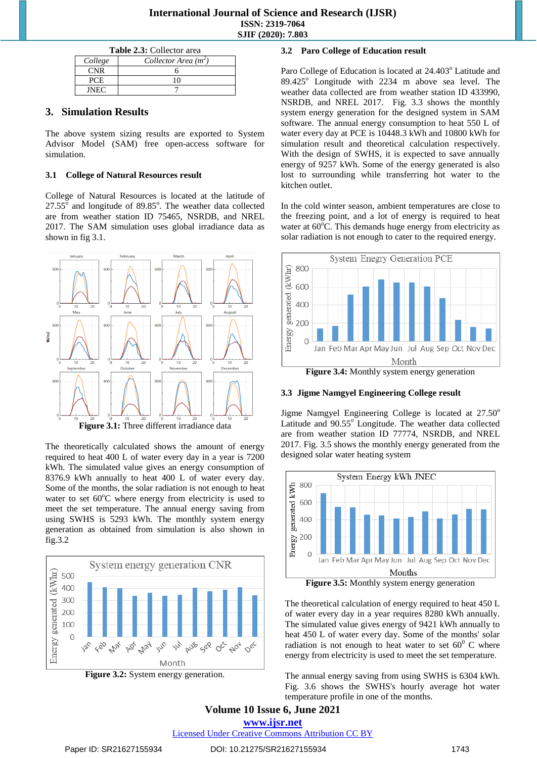# **International Journal of Science and Research (IJSR) ISSN: 2319-7064 SJIF (2020): 7.803**

| <b>Table 2.3: Collector area</b>  |  |  |
|-----------------------------------|--|--|
| Collector Area $(m^2)$<br>College |  |  |
| <b>CNR</b>                        |  |  |
| PCE.                              |  |  |
| <b>INEC</b>                       |  |  |

# **3. Simulation Results**

The above system sizing results are exported to System Advisor Model (SAM) free open-access software for simulation.

# **3.1 College of Natural Resources result**

College of Natural Resources is located at the latitude of  $27.55^{\circ}$  and longitude of 89.85°. The weather data collected are from weather station ID 75465, NSRDB, and NREL 2017. The SAM simulation uses global irradiance data as shown in fig 3.1.



**Figure 3.1:** Three different irradiance data

The theoretically calculated shows the amount of energy required to heat 400 L of water every day in a year is 7200 kWh. The simulated value gives an energy consumption of 8376.9 kWh annually to heat 400 L of water every day. Some of the months, the solar radiation is not enough to heat water to set  $60^{\circ}$ C where energy from electricity is used to meet the set temperature. The annual energy saving from using SWHS is 5293 kWh. The monthly system energy generation as obtained from simulation is also shown in fig.3.2





# **3.2 Paro College of Education result**

Paro College of Education is located at 24.403° Latitude and  $89.425^{\circ}$  Longitude with 2234 m above sea level. The weather data collected are from weather station ID 433990, NSRDB, and NREL 2017. Fig. 3.3 shows the monthly system energy generation for the designed system in SAM software. The annual energy consumption to heat 550 L of water every day at PCE is 10448.3 kWh and 10800 kWh for simulation result and theoretical calculation respectively. With the design of SWHS, it is expected to save annually energy of 9257 kWh. Some of the energy generated is also lost to surrounding while transferring hot water to the kitchen outlet.

In the cold winter season, ambient temperatures are close to the freezing point, and a lot of energy is required to heat water at  $60^{\circ}$ C. This demands huge energy from electricity as solar radiation is not enough to cater to the required energy.



# **3.3 Jigme Namgyel Engineering College result**

Jigme Namgyel Engineering College is located at  $27.50^{\circ}$ Latitude and 90.55° Longitude. The weather data collected are from weather station ID 77774, NSRDB, and NREL 2017. Fig. 3.5 shows the monthly energy generated from the designed solar water heating system



The theoretical calculation of energy required to heat 450 L of water every day in a year requires 8280 kWh annually. The simulated value gives energy of 9421 kWh annually to heat 450 L of water every day. Some of the months' solar radiation is not enough to heat water to set  $60^{\circ}$  C where energy from electricity is used to meet the set temperature.

The annual energy saving from using SWHS is 6304 kWh. Fig. 3.6 shows the SWHS's hourly average hot water temperature profile in one of the months.

**Volume 10 Issue 6, June 2021 www.ijsr.net**

Licensed Under Creative Commons Attribution CC BY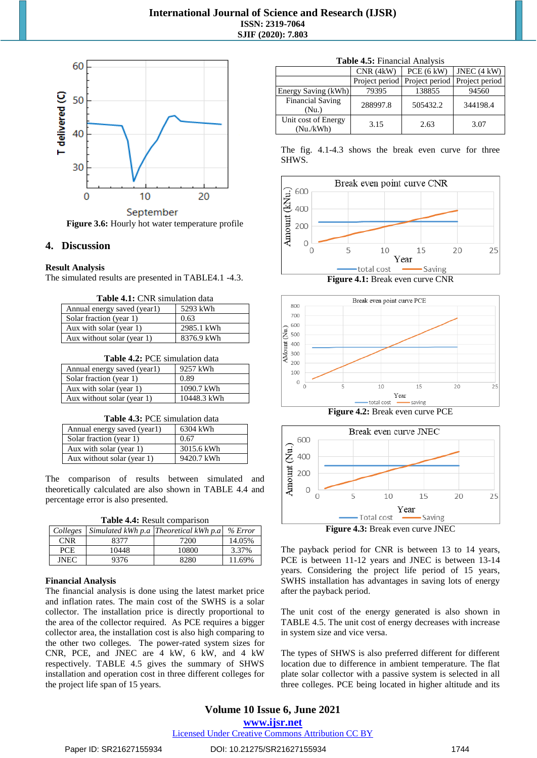

**Figure 3.6:** Hourly hot water temperature profile

### **4. Discussion**

#### **Result Analysis**

The simulated results are presented in TABLE4.1 -4.3.

| <b>Table 4.1:</b> CNR simulation data |  |
|---------------------------------------|--|
|---------------------------------------|--|

| Annual energy saved (year1) | 5293 kWh   |
|-----------------------------|------------|
| Solar fraction (year 1)     | 0.63       |
| Aux with solar (year 1)     | 2985.1 kWh |
| Aux without solar (year 1)  | 8376.9 kWh |

**Table 4.2:** PCE simulation data

| Annual energy saved (year1) | 9257 kWh    |
|-----------------------------|-------------|
| Solar fraction (year 1)     | 0.89        |
| Aux with solar (year 1)     | 1090.7 kWh  |
| Aux without solar (year 1)  | 10448.3 kWh |

| <b>Table 4.3: PCE simulation data</b> |  |  |  |  |  |
|---------------------------------------|--|--|--|--|--|
|---------------------------------------|--|--|--|--|--|

| Annual energy saved (year1) | 6304 kWh   |
|-----------------------------|------------|
| Solar fraction (year 1)     | 0.67       |
| Aux with solar (year 1)     | 3015.6 kWh |
| Aux without solar (year 1)  | 9420.7 kWh |

The comparison of results between simulated and theoretically calculated are also shown in TABLE 4.4 and percentage error is also presented.

|  | Table 4.4: Result comparison |
|--|------------------------------|
|  |                              |

| Colleges    |       | Simulated kWh p.a Theoretical kWh p.a | % Error |
|-------------|-------|---------------------------------------|---------|
| <b>CNR</b>  | 8377  | 7200                                  | 14.05%  |
| <b>PCE</b>  | 10448 | 10800                                 | 3.37%   |
| <b>INEC</b> | 9376  | 8280                                  | 11.69%  |

#### **Financial Analysis**

The financial analysis is done using the latest market price and inflation rates. The main cost of the SWHS is a solar collector. The installation price is directly proportional to the area of the collector required. As PCE requires a bigger collector area, the installation cost is also high comparing to the other two colleges. The power-rated system sizes for CNR, PCE, and JNEC are 4 kW, 6 kW, and 4 kW respectively. TABLE 4.5 gives the summary of SHWS installation and operation cost in three different colleges for the project life span of 15 years.

|  |  | <b>Table 4.5:</b> Financial Analysis |  |
|--|--|--------------------------------------|--|
|--|--|--------------------------------------|--|

|                                  | CNR(4kW) | PCE(6 kW)                       | JNEC $(4 kW)$  |
|----------------------------------|----------|---------------------------------|----------------|
|                                  |          | Project period   Project period | Project period |
| Energy Saving (kWh)              | 79395    | 138855                          | 94560          |
| <b>Financial Saving</b><br>(Nu.) | 288997.8 | 505432.2                        | 344198.4       |
| Unit cost of Energy<br>(Nu./kWh) | 3.15     | 2.63                            | 3.07           |

The fig. 4.1-4.3 shows the break even curve for three SHWS.



**Figure 4.1:** Break even curve CNR



**Figure 4.2:** Break even curve PCE



The payback period for CNR is between 13 to 14 years, PCE is between 11-12 years and JNEC is between 13-14 years. Considering the project life period of 15 years, SWHS installation has advantages in saving lots of energy after the payback period.

The unit cost of the energy generated is also shown in TABLE 4.5. The unit cost of energy decreases with increase in system size and vice versa.

The types of SHWS is also preferred different for different location due to difference in ambient temperature. The flat plate solar collector with a passive system is selected in all three colleges. PCE being located in higher altitude and its

# **Volume 10 Issue 6, June 2021**

**www.ijsr.net**

Licensed Under Creative Commons Attribution CC BY